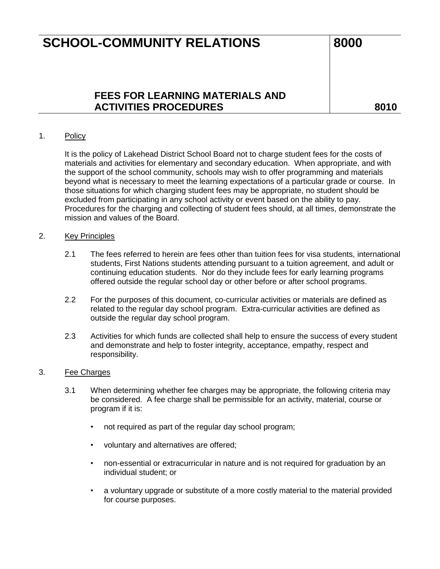## **FEES FOR LEARNING MATERIALS AND**  ACTIVITIES PROCEDURES **ACTIVITIES** PROCEDURES

### 1. Policy

It is the policy of Lakehead District School Board not to charge student fees for the costs of materials and activities for elementary and secondary education. When appropriate, and with the support of the school community, schools may wish to offer programming and materials beyond what is necessary to meet the learning expectations of a particular grade or course. In those situations for which charging student fees may be appropriate, no student should be excluded from participating in any school activity or event based on the ability to pay. Procedures for the charging and collecting of student fees should, at all times, demonstrate the mission and values of the Board.

#### 2. Key Principles

- 2.1 The fees referred to herein are fees other than tuition fees for visa students, international students, First Nations students attending pursuant to a tuition agreement, and adult or continuing education students. Nor do they include fees for early learning programs offered outside the regular school day or other before or after school programs.
- 2.2 For the purposes of this document, co-curricular activities or materials are defined as related to the regular day school program. Extra-curricular activities are defined as outside the regular day school program.
- 2.3 Activities for which funds are collected shall help to ensure the success of every student and demonstrate and help to foster integrity, acceptance, empathy, respect and responsibility.

#### 3. Fee Charges

- 3.1 When determining whether fee charges may be appropriate, the following criteria may be considered. A fee charge shall be permissible for an activity, material, course or program if it is:
	- not required as part of the regular day school program;
	- voluntary and alternatives are offered;
	- non-essential or extracurricular in nature and is not required for graduation by an individual student; or
	- a voluntary upgrade or substitute of a more costly material to the material provided for course purposes.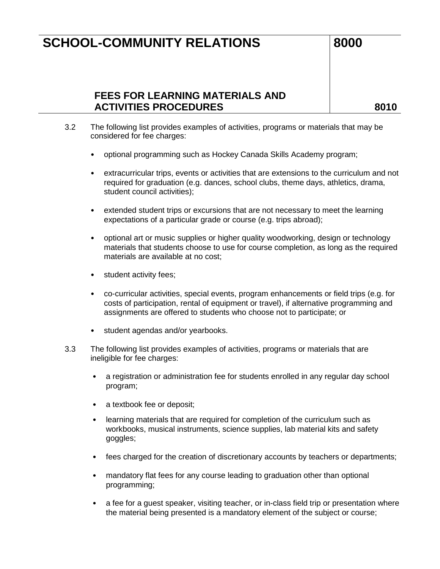## **FEES FOR LEARNING MATERIALS AND**  ACTIVITIES PROCEDURES **ACTIVITIES** PROCEDURES

- 3.2 The following list provides examples of activities, programs or materials that may be considered for fee charges:
	- optional programming such as Hockey Canada Skills Academy program;
	- extracurricular trips, events or activities that are extensions to the curriculum and not required for graduation (e.g. dances, school clubs, theme days, athletics, drama, student council activities);
	- extended student trips or excursions that are not necessary to meet the learning expectations of a particular grade or course (e.g. trips abroad);
	- optional art or music supplies or higher quality woodworking, design or technology materials that students choose to use for course completion, as long as the required materials are available at no cost;
	- student activity fees;
	- co-curricular activities, special events, program enhancements or field trips (e.g. for costs of participation, rental of equipment or travel), if alternative programming and assignments are offered to students who choose not to participate; or
	- student agendas and/or yearbooks.
- 3.3 The following list provides examples of activities, programs or materials that are ineligible for fee charges:
	- a registration or administration fee for students enrolled in any regular day school program;
	- a textbook fee or deposit;
	- learning materials that are required for completion of the curriculum such as workbooks, musical instruments, science supplies, lab material kits and safety goggles;
	- fees charged for the creation of discretionary accounts by teachers or departments;
	- mandatory flat fees for any course leading to graduation other than optional programming;
	- a fee for a guest speaker, visiting teacher, or in-class field trip or presentation where the material being presented is a mandatory element of the subject or course;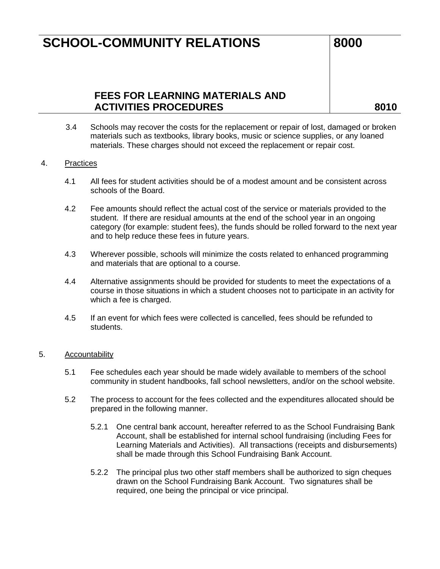## **FEES FOR LEARNING MATERIALS AND**  ACTIVITIES PROCEDURES **ACTIVITIES** PROCEDURES

3.4 Schools may recover the costs for the replacement or repair of lost, damaged or broken materials such as textbooks, library books, music or science supplies, or any loaned materials. These charges should not exceed the replacement or repair cost.

### 4. Practices

- 4.1 All fees for student activities should be of a modest amount and be consistent across schools of the Board.
- 4.2 Fee amounts should reflect the actual cost of the service or materials provided to the student. If there are residual amounts at the end of the school year in an ongoing category (for example: student fees), the funds should be rolled forward to the next year and to help reduce these fees in future years.
- 4.3 Wherever possible, schools will minimize the costs related to enhanced programming and materials that are optional to a course.
- 4.4 Alternative assignments should be provided for students to meet the expectations of a course in those situations in which a student chooses not to participate in an activity for which a fee is charged.
- 4.5 If an event for which fees were collected is cancelled, fees should be refunded to students.

#### 5. Accountability

- 5.1 Fee schedules each year should be made widely available to members of the school community in student handbooks, fall school newsletters, and/or on the school website.
- 5.2 The process to account for the fees collected and the expenditures allocated should be prepared in the following manner.
	- 5.2.1 One central bank account, hereafter referred to as the School Fundraising Bank Account, shall be established for internal school fundraising (including Fees for Learning Materials and Activities). All transactions (receipts and disbursements) shall be made through this School Fundraising Bank Account.
	- 5.2.2 The principal plus two other staff members shall be authorized to sign cheques drawn on the School Fundraising Bank Account. Two signatures shall be required, one being the principal or vice principal.